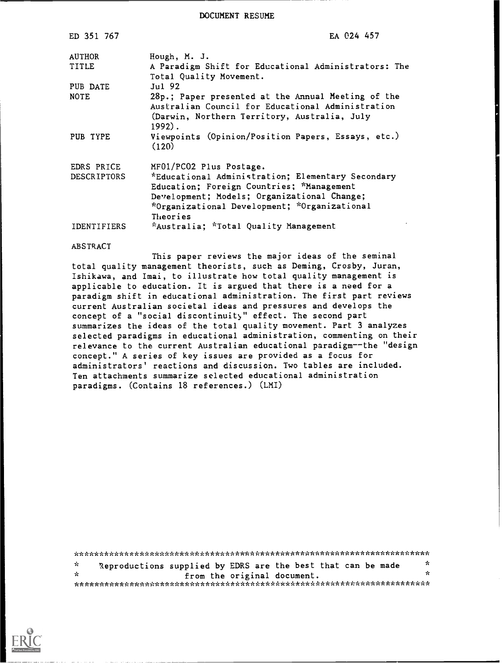DOCUMENT RESUME

| ED 351 767         | EA 024 457                                                                                                                                                                                                |
|--------------------|-----------------------------------------------------------------------------------------------------------------------------------------------------------------------------------------------------------|
| <b>AUTHOR</b>      | Hough, M. J.                                                                                                                                                                                              |
| TITLE              | A Paradigm Shift for Educational Administrators: The<br>Total Quality Movement.                                                                                                                           |
| PUB DATE           | $Ju1$ 92                                                                                                                                                                                                  |
| <b>NOTE</b>        | 28p.; Paper presented at the Annual Meeting of the<br>Australian Council for Educational Administration<br>(Darwin, Northern Territory, Australia, July<br>$1992$ .                                       |
| PUB TYPE           | Viewpoints (Opinion/Position Papers, Essays, etc.)<br>(120)                                                                                                                                               |
| EDRS PRICE         | MF01/PC02 Plus Postage.                                                                                                                                                                                   |
| <b>DESCRIPTORS</b> | *Educational Administration; Elementary Secondary<br>Education; Foreign Countries; *Management<br>Development; Models; Organizational Change;<br>*Organizational Development; *Organizational<br>Theories |
| <b>IDENTIFIERS</b> | *Australia; *Total Quality Management                                                                                                                                                                     |

#### ABSTRACT

This paper reviews the major ideas of the seminal total quality management theorists, such as Deming, Crosby, Juran, Ishikawa, and Imai, to illustrate how total quality management is applicable to education. It is argued that there is a need for a paradigm shift in educational administration. The first part reviews current Australian societal ideas and pressures and develops the concept of a "social discontinuity" effect. The second part summarizes the ideas of the total quality movement. Part 3 analyzes selected paradigms in educational administration, commenting on their relevance to the current Australian educational paradigm--the "design concept." A series of key issues are provided as a focus for administrators' reactions and discussion. Two tables are included. Ten attachments summarize selected educational administration paradigms. (Contains 18 references.) (LMI)

\*\*\*\*\*\*\*\*\*\*\*\*\*\*\*\*\*\*\*\*\*\*\*\*\*\*\*\*\*\*\*\*\*\*\*\*\*\*\*\*\*\*\*\*\*\*\*\*\*\*\*\*\*\*\*\*\*\*\*\*\*\*\*\*\*\*\*\*\*\*\* Reproductions supplied by EDRS are the best that can be made  $\frac{x}{x}$  $\dot{\mathbf{x}}$ from the original document. \*\*\*\*\*\*\*\*\*\*\*\*\*\*\*\*\*\*\*\*\*\*\*\*\*\*\*\*\*\*\*\*\*\*\*\*\*\*\*\*\*\*\*\*\*\*\*\*\*\*\*\*\*\*\*\*\*\*\*\*\*\*\*\*\*\*\*\*\*\*\*

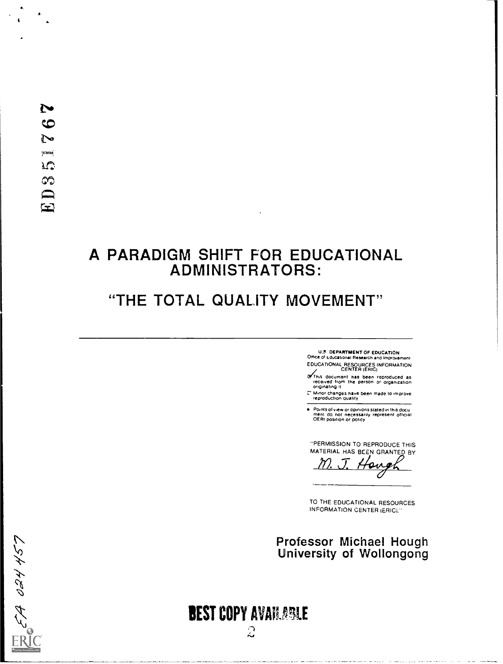$\pmb{\ast}$ 

### A PARADIGM SHIFT FOR EDUCATIONAL ADMINISTRATORS:

### "THE TOTAL QUALITY MOVEMENT"

U.S DEPARTMENT OF EDUCATION Office of Educational Research and Improvement

- EDUCATIONAL RESOURCES INFORMATION CENTER (ERIC)
- LYThis document has been reproduced as<br>received from the person or organization<br>originating it
- Minor changes have been made 10 improve reproduction duahly
- Points of view or opinions stated in this docu<br>ment ido: not inecessarily represent <sub>O</sub>fficial<br>OERI position or policy

"PERMISSION TO REPRODUCE THIS MATERIAL HAS BCEN GRANTED BY

TO THE EDUCATIONAL RESOURCES INFORMATION CENTER (ERIC).

# Professor Michael Hough University of Wollongong



**BEST COPY AVAILABLE**  $\mathcal{Z}$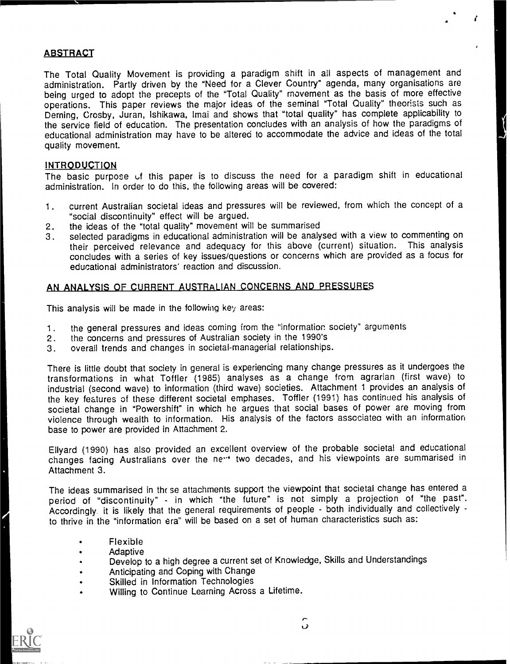#### ABSTRACT

The Total Quality Movement is providing a paradigm shift in all aspects of management and administration. Partly driven by the "Need for a Clever Country" agenda, many organisations are being urged to adopt the precepts of the "Total Quality" movement as the basis of more effective operations. This paper reviews the major ideas of the seminal "Total Quality" theorists such as Deming, Crosby, Juran, ishikawa, !mai and shows that "total quality" has complete applicability to the service field of education. The presentation concludes with an analysis of how the paradigms of educational administration may have to be altered to accommodate the advice and ideas of the total quality movement.

#### INTRODUCTION

The basic purpose of this paper is to discuss the need for a paradigm shift in educational administration. In order to do this, the following areas will be covered:

- 1. current Australian societal ideas and pressures will be reviewed, from which the concept of a "social discontinuity" effect will be argued.
- 2. the ideas of the "total quality" movement will be summarised
- 3. selected paradigms in educational administration will be analysed with a view to commenting on their perceived relevance and adequacy for this above (current) situation. This analysis concludes with a series of key issues/questions or concerns which are provided as a focus for educational administrators' reaction and discussion.

#### AN ANALYSIS OF CURRENT AUSTRALIAN CONCERNS AND PRESSURES

This analysis will be made in the following key areas:

- 1. the general pressures and ideas coming from the "information society" arguments
- 2. the concerns and pressures of Australian society in the 1990's
- 3. overall trends and changes in societal-managerial relationships.

There is little doubt that society in general is experiencing many change pressures as it undergoes the transformations in what Toffler (1985) analyses as a change from agrarian (first wave) to industrial (second wave) to information (third wave) societies. Attachment 1 provides an analysis of the key features of these different societal emphases. Toffler (1991) has continued his analysis of societal change in "Powershift" in which he argues that social bases of power are moving from violence through wealth to information. His analysis of the factors associateo with an information base to power are provided in Attachment 2.

Ellyard (1990) has also provided an excellent overview of the probable societal and educational changes facing Australians over the ne<sup>14</sup> two decades, and his viewpoints are summarised in Attachment 3.

The ideas summarised in thr se attachments support the viewpoint that societal change has entered a period of "discontinuity" - in which "the future" is not simply a projection of "the past". Accordingly it is likely that the general requirements of people - both individually and collectively to thrive in the "information era" will be based on a set of human characteristics such as:

- Flexible
- Adaptive
- Develop to a high degree a current set of Knowledge, Skills and Understandings
- Anticipating and Coping with Change
- Skilled in Information Technologies
- Willing to Continue Learning Across a Lifetime.

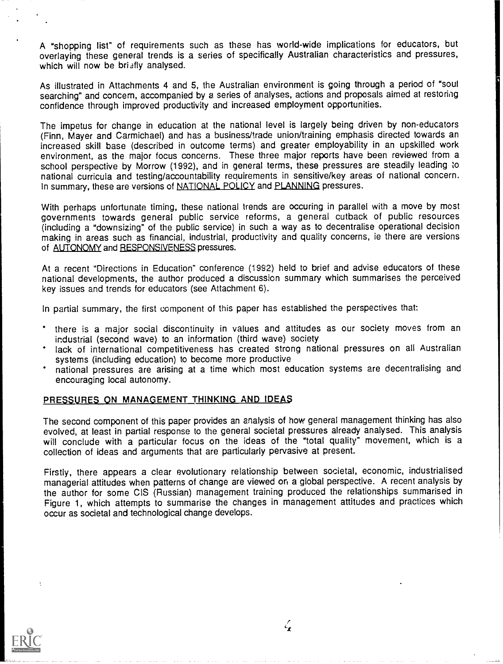A "shopping list" of requirements such as these has world-wide implications for educators, but overlaying these general trends is a series of specifically Australian characteristics and pressures, which will now be briafly analysed.

As illustrated in Attachments 4 and 5, the Australian environment is going through a period of "soul searching" and concern, accompanied by a series of analyses, actions and proposals aimed at restoring confidence through improved productivity and increased employment opportunities.

The impetus for change in education at the national level is largely being driven by non-educators (Finn, Mayer and Carmichael) and has a business/trade union/training emphasis directed towards an increased skill base (described in outcome terms) and greater employability in an upskilled work environment, as the major focus concerns. These three major reports have been reviewed from a school perspective by Morrow (1992), and in general terms, these pressures are steadily leading to national curricula and testing/accountability requirements in sensitive/key areas of national concern. In summary, these are versions of NATIONAL POLICY and PLANNING pressures.

With perhaps unfortunate timing, these national trends are occuring in parallel with a move by most governments towards general public service reforms, a general cutback of public resources (including a "downsizing" of the public service) in such a way as to decentralise operational decision making in areas such as financial, industrial, productivity and quality concerns, ie there are versions of AUTONOMY and RESPONSIVENESS pressures.

At a recent "Directions in Education" conference (1992) held to brief and advise educators of these national developments, the author produced a discussion summary which summarises the perceived key issues and trends for educators (see Attachment 6).

In partial summary, the first component of this paper has established the perspectives that:

- there is a major social discontinuity in values and attitudes as our society moves from an industrial (second wave) to an information (third wave) society
- lack of international competitiveness has created strong national pressures on all Australian systems (including education) to become more productive
- national pressures are arising at a time which most education systems are decentralising and encouraging local autonomy.

#### PRESSURES ON MANAGEMENT THINKING AND IDEAS

The second component of this paper provides an analysis of how general management thinking has also evolved, at least in partial response to the general societal pressures already analysed. This analysis will conclude with a particular focus on the ideas of the "total quality" movement, which is a collection of ideas and arguments that are particularly pervasive at present.

Firstly, there appears a clear evolutionary relationship between societal, economic, industrialised managerial attitudes when patterns of change are viewed on a global perspective. A recent analysis by the author for some CIS (Russian) management training produced the relationships summarised in Figure 1, which attempts to summarise the changes in management attitudes and practices which occur as societal and technological change develops.



 $\zeta_{\mathbf{r}}$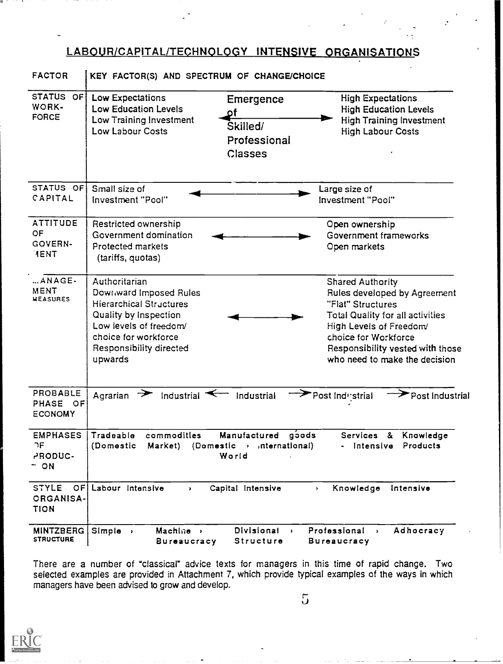#### LABOUR/CAPITAL/TECHNOLOGY INTENSIVE ORGANISATIONS

| <b>FACTOR</b>                                     | KEY FACTOR(S) AND SPECTRUM OF CHANGE/CHOICE                                                                                                                                                |                                                                                                                                                                                                                                                 |
|---------------------------------------------------|--------------------------------------------------------------------------------------------------------------------------------------------------------------------------------------------|-------------------------------------------------------------------------------------------------------------------------------------------------------------------------------------------------------------------------------------------------|
| STATUS OF<br>WORK-<br><b>FORCE</b>                | Low Expectations<br>Emergence<br><b>Low Education Levels</b><br><b>pf</b><br>Low Training Investment<br>Skilled/<br>Low Labour Costs<br>Professional<br>Classes                            | <b>High Expectations</b><br><b>High Education Levels</b><br><b>High Training Investment</b><br><b>High Labour Costs</b>                                                                                                                         |
| STATUS OF<br>CAPITAL                              | Small size of<br>Investment "Pool"                                                                                                                                                         | Large size of<br>Investment "Pool"                                                                                                                                                                                                              |
| <b>ATTITUDE</b><br>OF<br>GOVERN-<br>HENT          | Restricted ownership<br>Government domination<br><b>Protected markets</b><br>(tariffs, quotas)                                                                                             | Open ownership<br>Government frameworks<br>Open markets                                                                                                                                                                                         |
| ANAGE-<br>MENT<br><b>MEASURES</b>                 | Authoritarian<br>Downward Imposed Rules<br><b>Hierarchical Structures</b><br>Quality by Inspection<br>Low levels of freedom/<br>choice for workforce<br>Responsibility directed<br>upwards | <b>Shared Authority</b><br>Rules developed by Agreement<br>"Flat" Structures<br><b>Total Quality for all activities</b><br>High Levels of Freedom/<br>choice for Workforce<br>Responsibility vested with those<br>who need to make the decision |
| PROBABLE<br>PHASE OF<br><b>ECONOMY</b>            | Industrial $\leq$<br>Industrial<br>$\rightarrow$<br>Agrarian                                                                                                                               | Post Industrial<br>Post Industrial                                                                                                                                                                                                              |
| <b>EMPHASES</b><br>ገF<br><b>PRODUC-</b><br>$-$ ON | Tradeable<br>commodities<br>Manufactured<br>$(Domestic \rightarrow material)$<br>(Domestic<br>Market)<br>World                                                                             | goods<br><b>Services</b><br>Knowledge<br>&<br>Products<br>- Intensive                                                                                                                                                                           |
| <b>STYLE</b><br>OF1<br>ORGANISA-<br><b>TION</b>   | Labour Intensive<br>Capital Intensive<br>$\mathbf{r}$                                                                                                                                      | Knowledge<br>Intensive<br>$\mathbf{y}$                                                                                                                                                                                                          |
| <b>MINTZBERG</b><br><b>STRUCTURE</b>              | Divisional<br>Machine ><br>$Simple \rightarrow$<br><b>Bureaucracy</b><br>Structure                                                                                                         | Professional<br>Adhocracy<br>$\rightarrow$<br>$\bullet$<br><b>Bureaucracy</b>                                                                                                                                                                   |

There are a number of "classical" advice texts for managers in this time of rapid change. Two selected examples are provided in Attachment 7, which provide typical examples of the ways in which managers have been advised to grow and develop.

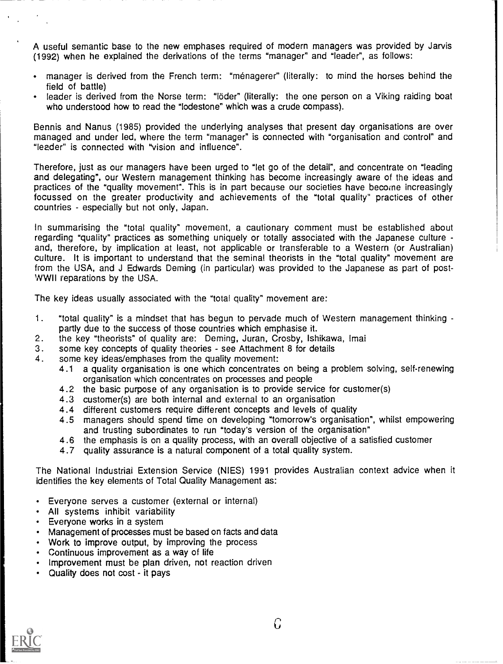A useful semantic base to the new emphases required of modern managers was provided by Jarvis (1992) when he explained the derivations of the terms "manager" and "leader", as follows:

- manager is derived from the French term: "menagerer" (literally: to mind the horses behind the field of battle)
- leader is derived from the Norse term: "löder" (literally: the one person on a Viking raiding boat who understood how to read the "lodestone" which was a crude compass).

Bennis and Nanus (1985) provided the underlying analyses that present day organisations are over managed and under led, where the term "manager" is connected with "organisation and control" and "leader" is connected with "vision and influence".

Therefore, just as our managers have been urged to "let go of the detail", and concentrate on "leading and delegating", our Western management thinking has become increasingly aware of the ideas and practices of the "quality movement". This is in part because our societies have become increasingly focussed on the greater productivity and achievements of the "total quality" practices of other countries - especially but not only, Japan.

In summarising the "total quality" movement, a cautionary comment must be established about regarding "quality" practices as something uniquely or totally associated with the Japanese culture and, therefore, by implication at least, not applicable or transferable to a Western (or Australian) culture. It is important to understand that the seminal theorists in the "total quality" movement are from the USA, and J Edwards Deming (in particular) was provided to the Japanese as part of post-WWII reparations by the USA.

The key ideas usually associated with the "total quality" movement are:

- 1. "total quality" is a mindset that has begun to pervade much of Western management thinking partly due to the success of those countries which emphasise it.
- 2. the key "theorists" of quality are: Deming, Juran, Crosby, Ishikawa, lmai
- 3. some key concepts of quality theories see Attachment 8 for details
- 4. some key ideas/emphases from the quality movement:
	- 4.1 a quality organisation is one which concentrates on being a problem solving, self-renewing organisation which concentrates on processes and people
	- 4.2 the basic purpose of any organisation is to provide service for customer(s)
	- 4.3 customer(s) are both internal and external to an organisation
	- 4.4 different customers require different concepts and levels of quality
	- 4.5 managers should spend time on developing "tomorrow's organisation", whilst empowering and trusting subordinates to run "today's version of the organisation"
	- 4.6 the emphasis is on a quality process, with an overall objective of a satisfied customer
	- 4.7 quality assurance is a natural component of a total quality system.

The National Industriai Extension Service (NIES) 1991 provides Australian context advice when it identifies the key elements of Total Quality Management as:

- Everyone serves a customer (external or internal)
- All systems inhibit variability
- Everyone works in a system
- Management of processes must be based on facts and data
- Work to improve output, by improving the process
- Continuous improvement as a way of life
- Improvement must be plan driven, not reaction driven
- Quality does not cost it pays

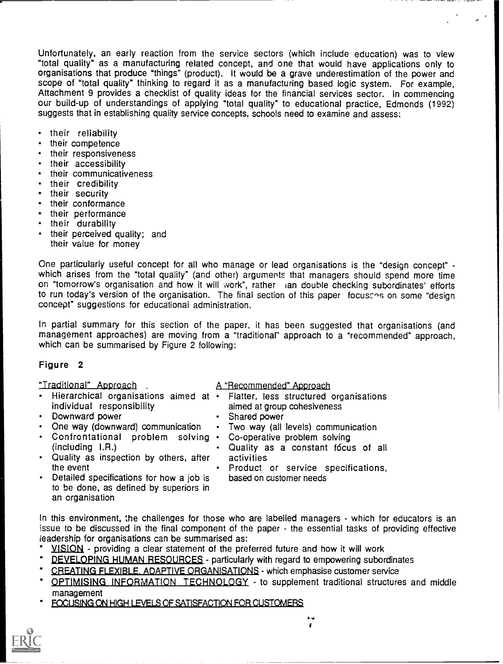Unfortunately, an early reaction from the service sectors (which include education) was to view "total quality" as a manufacturing related concept, and one that would have applications only to organisations that produce "things" (product). It would be a grave underestimation of the power and scope of "total quality" thinking to regard it as a manufacturing based logic system. For example, Attachment 9 provides a checklist of quality ideas for the financial services sector. In commencing our build-up of understandings of applying "total quality" to educational practice, Edmonds (1992) suggests that in establishing quality service concepts, schools need to examine and assess:

- their reliability
- their competence
- their responsiveness
- their accessibility  $\bullet$
- their communicativeness
- $\bullet$  . their credibility
- their security
- their conformance
- their performance
- their durability
- their perceived quality; and their value for money

One particularly useful concept for all who manage or lead organisations is the "design concept" which arises from the "total quality" (and other) arguments that managers should spend more time on "tomorrow's organisation and how it will work ", rather ian double checking subordinates' efforts to run today's version of the organisation. The final section of this paper focusces on some "design concept" suggestions for educational administration.

In partial summary for this section of the paper, it has been suggested that organisations (and management approaches) are moving from a "traditional" approach to a "recommended" approach, which can be summarised by Figure 2 following:

#### Figure 2

#### "Traditional" Approach

- individual responsibility
- Downward power
- One way (downward) communication
- Confrontational problem solving (including I.R.)
- Quality as inspection by others, after the event
- A "Recommended" Approach
- Hierarchical organisations aimed at Flatter, less structured organisations aimed at group cohesiveness
	- Shared power
	- Two way (all levels) communication
	- Co-operative problem solving
	- Quality as a constant focus of all activities
		- Product or service specifications, based on customer needs
- Detailed specifications for how a job is to be done, as defined by superiors in an organisation

In this environment, the challenges for those who are labelled managers - which for educators is an issue to be discussed in the final component of the paper - the essential tasks of providing effective leadership for organisations can be summarised as:

- VISION providing a clear statement of the preferred future and how it will work
- DEVELOPING HUMAN RESOURCES particularly with regard to empowering subordinates
- CREATING FLEXIBLE. ADAPTIVE ORGANISATIONS which emphasise customer service
- OPTIMISING INFORMATION TECHNOLOGY to supplement traditional structures and middle management
- FOCUSING ON HIGH LEVELS OF SATISFACTION FOR CUSTOMERS

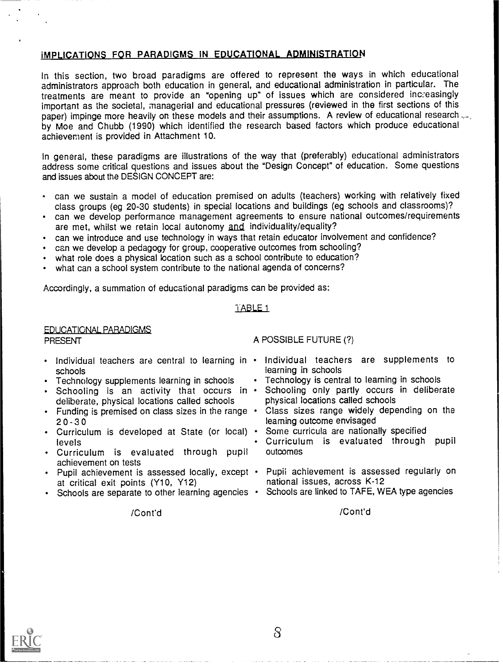#### IMPLICATIONS FOR PARADIGMS IN EDUCATIONAL ADMINISTRATION

In this section, two broad paradigms are offered to represent the ways in which educational administrators approach both education in general, and educational administration in particular. The treatments are meant to provide an "opening up" of issues which are considered increasingly important as the societal, managerial and educational pressures (reviewed in the first sections of this paper) impinge more heavily on these models and their assumptions. A review of educational research by Moe and Chubb (1990) which identified the research based factors which produce educational achievement is provided in Attachment 10.

In general, these paradigms are illustrations of the way that (preferably) educational administrators address some critical questions and issues about the "Design Concept" of education. Some questions and issues about the DESIGN CONCEPT are:

- can we sustain a model of education premised on adults (teachers) working with relatively fixed class groups (eg 20-30 students) in special locations and buildings (eg schools and classrooms)?
- can we develop performance management agreements to ensure national outcomes/requirements are met, whilst we retain local autonomy and individuality/equality?
- can we introduce and use technology in ways that retain educator involvement and confidence?
- can we develop a pedagogy for group, cooperative outcomes from schooling?
- what role does a physical location such as a school contribute to education?
- what can a school system contribute to the national agenda of concerns?

Accordingly, a summation of educational paradigms can be provided as:

#### I ABLE 1

#### EDUCATIONAL PARADIGMS

PRESENT

- schools
- Technology supplements learning in schools
- Schooling is an activity that occurs in  $\cdot$ deliberate, physical locations called schools
- Funding is premised on class sizes in the range  $20 - 30$
- Curriculum is developed at State (or local) levels
- Curriculum is evaluated through pupil achievement on tests
- at critical exit points (Y10, Y12)
- Schools are separate to other learning agencies Schools are linked to TAFE, WEA type agencies

A POSSIBLE FUTURE (?)

- Individual teachers are central to learning in Individual teachers are supplements to learning in schools
	- Technology is central to learning in schools
	- Schooling only partly occurs in deliberate physical locations called schools
	- Class sizes range widely depending on the learning outcome envisaged
	- Some curricula are nationally specified
	- Curriculum is evaluated through pupil outcomes
- Pupil achievement is assessed locally, except Pupil achievement is assessed regularly on national issues, across K-12
	-

/Cont'd

/Cont'd

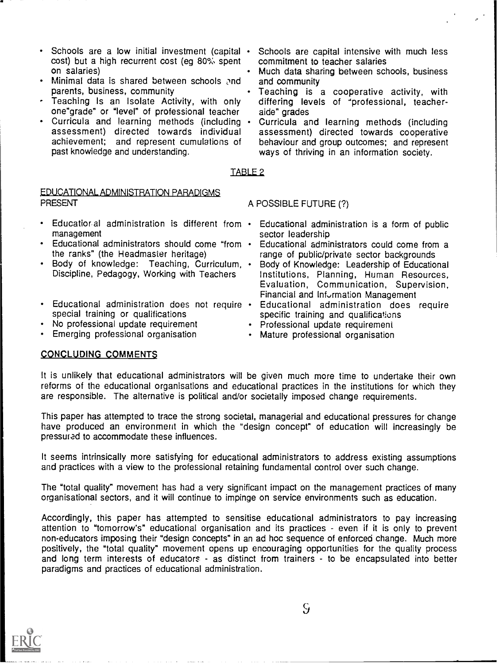- Schools are a low initial investment (capital  $\cdot$ cost) but a high recurrent cost (eg 80% spent on salaries)
- Minimal data is shared between schools and parents, business, community
- Teaching Is an Isolate Activity, with only one"grade" or "level" of professional teacher
- Curricula and learning methods (including assessment) directed towards individual achievement; and represent cumulations of past knowledge and understanding.
- Schools are capital intensive with much less commitment to teacher salaries
- Much data sharing between schools, business and community
- Teaching is a cooperative activity, with differing levels of 'professional, teacheraide" grades
	- Curricula and learning methods (including assessment) directed towards cooperative behaviour and group outcomes; and represent ways of thriving in an information society.

#### TABLE 2

#### EDUCATIONAL ADMINISTRATION PARADIGMS PRESENT

- Educational administration is different from  $\cdot$ management
- Educational administrators should come "from the ranks" (the Headmaster heritage)
- Body of knowledge: Teaching, Curriculum, Discipline, Pedagogy, Working with Teachers
- special training or qualifications
- No professional update requirement
- Emerging professional organisation

### Educational administration is a form of public

- sector leadership Educational administrators could come from a
- range of public/private sector backgrounds Body of Knowledge: Leadership of Educational Institutions, Planning, Human Resources, Evaluation, Communication, Supervision, Financial and Information Management
- Educational administration does not require Educational administration does require specific training and qualifications
	- Professional update requirement

A POSSIBLE FUTURE (?)

Mature professional organisation

#### CONCLUDING COMMENTS

It is unlikely that educational administrators will be given much more time to undertake their own reforms of the educational organisations and educational practices in the institutions for which they are responsible. The alternative is political and/or societally imposed change requirements.

This paper has attempted to trace the strong societal, managerial and educational pressures for change have produced an environment in which the "design concept" of education will increasingly be pressured to accommodate these influences.

It seems intrinsically more satisfying for educational administrators to address existing assumptions and practices with a view to the professional retaining fundamental control over such change.

The "total quality" movement has had a very significant impact on the management practices of many organisational sectors, and it will continue to impinge on service environments such as education.

Accordingly, this paper has attempted to sensitise educational administrators to pay increasing attention to "tomorrow's" educational organisation and its practices - even if it is only to prevent non-educators imposing their "design concepts" in an ad hoc sequence of enforced change. Much more positively, the "total quality" movement opens up encouraging opportunities for the quality process and long term interests of educators - as distinct from trainers - to be encapsulated into better paradigms and practices of educational administration.



 $\varsigma_t$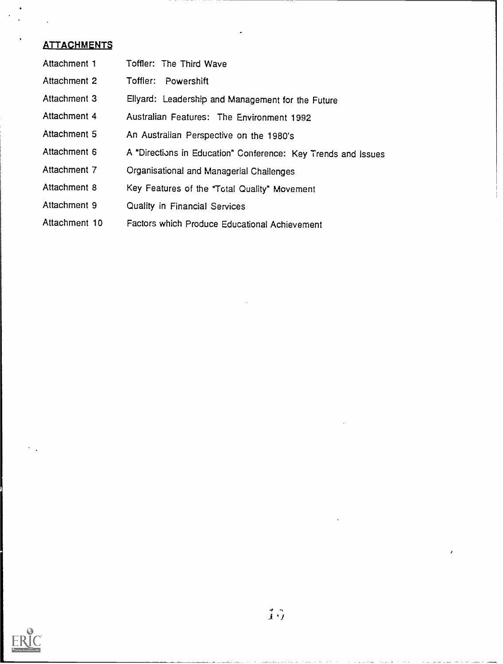| Attachment 1  | Toffler: The Third Wave                                       |
|---------------|---------------------------------------------------------------|
| Attachment 2  | Toffler:<br>Powershift                                        |
| Attachment 3  | Ellyard: Leadership and Management for the Future             |
| Attachment 4  | Australian Features: The Environment 1992                     |
| Attachment 5  | An Australian Perspective on the 1980's                       |
| Attachment 6  | A "Directions in Education" Conference: Key Trends and Issues |
| Attachment 7  | Organisational and Managerial Challenges                      |
| Attachment 8  | Key Features of the "Total Quality" Movement                  |
| Attachment 9  | Quality in Financial Services                                 |
| Attachment 10 | Factors which Produce Educational Achievement                 |

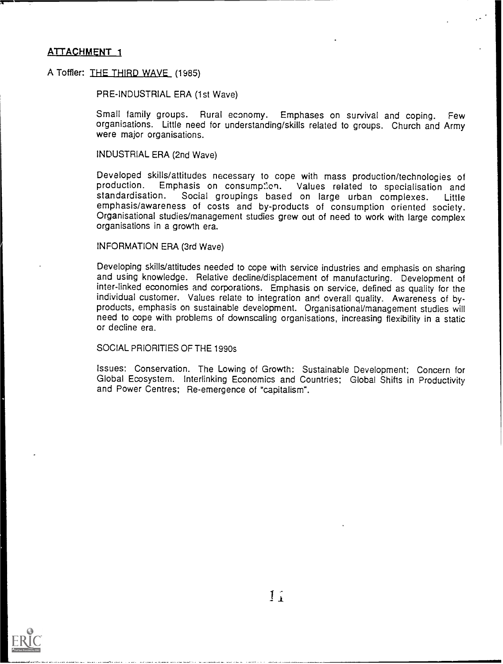#### A Toffier: THE THIRD WAVE (1985)

PRE-INDUSTRIAL ERA (1st Wave)

Small family groups. Rural economy. Emphases on survival and coping. Few organisations. Little need for understanding/skills related to groups. Church and Army were major organisations.

INDUSTRIAL ERA (2nd Wave)

Developed skills/attitudes necessary to cope with mass production/technologies of production. Emphasis on consumption. Values related to specialisation and standardisation. Social groupings based on large urban complexes. Social groupings based on large urban complexes. emphasis/awareness of costs and by-products of consumption oriented society. Organisational studies/management studies grew out of need to work with large complex organisations in a growth era.

#### INFORMATION ERA (3rd Wave)

Developing skills/attitudes needed to cope with service industries and emphasis on sharing<br>and using knowledge. Relative decline/displacement of manufacturing. Development of inter-linked economies and corporations. Emphasis on service, defined as quality for the individual customer. Values relate to integration and overall quality. Awareness of byproducts, emphasis on sustainable development. Organisational/management studies will need to cope with problems of downscaling organisations, increasing flexibility in a static or decline era.

#### SOCIAL PRIORITIES OF THE 1990s

Issues: Conservation. The Lowing of Growth: Sustainable Development; Concern for Global Ecosystem. Interlinking Economics and Countries; Global Shifts in Productivity and Power Centres; Re-emergence of "capitalism".



 $\mathbf{1}$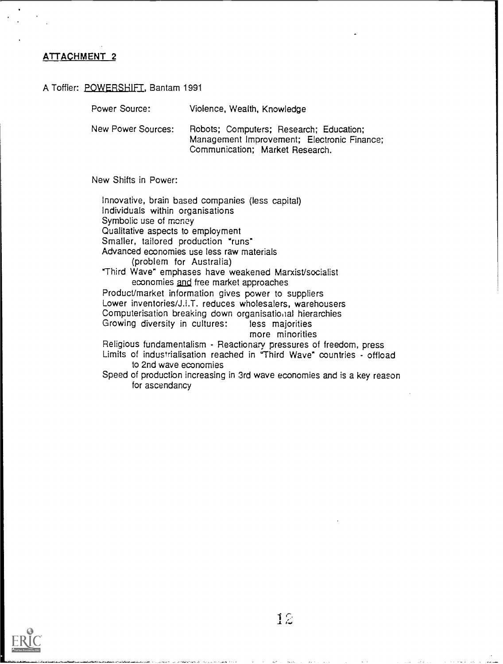#### A Toffler: POWERSHIFT, Bantam 1991

| Power Source:      | Violence, Wealth, Knowledge                                                                                               |
|--------------------|---------------------------------------------------------------------------------------------------------------------------|
| New Power Sources: | Robots; Computers; Research; Education;<br>Management Improvement; Electronic Finance;<br>Communication; Market Research. |

New Shifts in Power:

Innovative, brain based companies (less capital) Individuals within organisations Symbolic use of money Qualitative aspects to employment Smaller, tailored production "runs" Advanced economies use less raw materials (problem for Australia) "Third Wave" emphases have weakened Marxist/socialist economies and free market approaches Product/market information gives power to suppliers Lower inventories/J.I.T. reduces wholesalers, warehousers Computerisation breaking down organisational hierarchies Growing diversity in cultures: less majorities more minorities Religious fundamentalism - Reactionary pressures of freedom, press Limits of industrialisation reached in "Third Wave" countries - offload to 2nd wave economies Speed of production increasing in 3rd wave economies and is a key reason for ascendancy

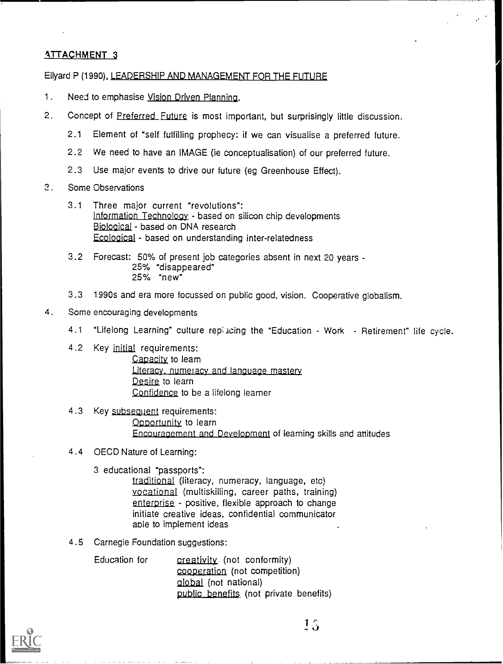#### Ellyard P (1990), LEADERSHIP AND MANAGEMENT FOR THE FUTURE

- 1. Need to emphasise Vision Driven Planning.
- 2. Concept of Preferred Future is most important, but surprisingly little discussion.
	- 2.1 Element of "self fulfilling prophecy: if we can visualise a preferred future.
	- 2.2 We need to have an IMAGE (ie conceptualisation) of our preferred future.
	- 2.3 Use major events to drive our future (eg Greenhouse Effect).
- 3. Some Observations
	- 3.1 Three major current "revolutions": information Technology - based on silicon chip developments Biological - based on DNA research Ecological - based on understanding inter-relatedness
	- 3.2 Forecast: 50% of present job categories absent in next 20 years 25% "disappeared" 25% "new"
	- 3.3 1990s and era more focussed on public good, vision. Cooperative globalism.
- 4. Some encouraging developments
	- 4.1 "Lifelong Learning" culture repiscing the "Education Work Retirement" life cycle.
	- 4.2 Key initial requirements: Capacity to learn Literacy, numeracy and language mastery Desire to learn Confidence to be a lifelong learner
	- 4.3 Key subsequent requirements: Opportunity to learn Encouragement and Development of learning skills and attitudes
	- 4.4 OECD Nature of Learning:
		- 3 educational "passports":

traditional (literacy, numeracy, language, etc) vocational (multiskilling, career paths, training) enterprise - positive, flexible approach to change initiate creative ideas, confidential communicator able to implement ideas

4.5 Carnegie Foundation suggestions:

Education for creativity (not conformity) cooperation (not competition) global (not national) public benefits (not private benefits)



 $1<sub>3</sub>$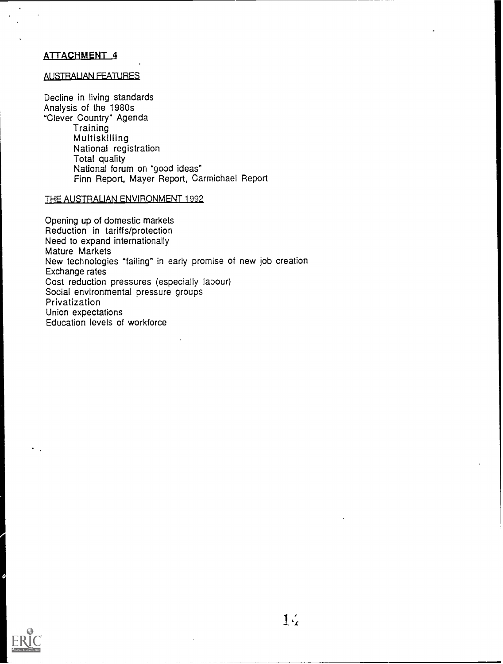#### AUSTRALIAN FEATURES

Decline in living standards Analysis of the 1980s "Clever Country" Agenda **Training** Multiskilling National registration Total quality National forum on "good ideas" Finn Report, Mayer Report, Carmichael Report

#### THE AUSTRALIAN ENVIRONMENT 1992

Opening up of domestic markets Reduction in tariffs/protection Need to expand internationally Mature Markets New technologies "failing" in early promise of new job creation Exchange rates Cost reduction pressures (especially labour) Social environmental pressure groups Privatization Union expectations Education levels of workforce

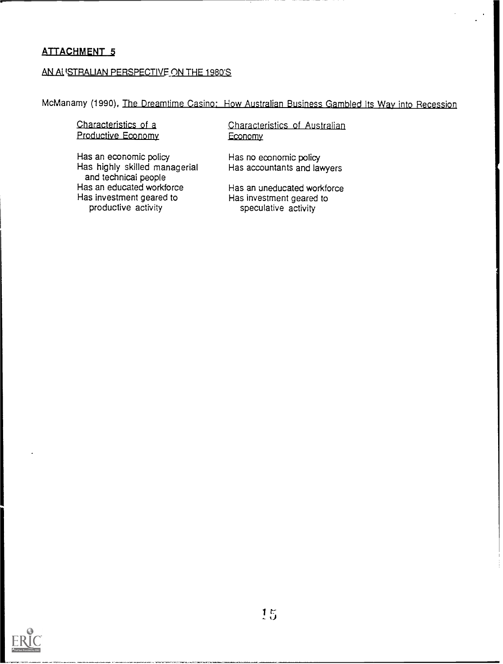#### AN ALISTRALIAN PERSPECTIVE ON THE 1980'S

McManamy (1990), <u>The Dreamtime Casino: How Australian Business Gambled Its Way into Recession</u>

#### Characteristics of a Productive Economy

Has an economic policy Has highly skilled managerial and technical people Has an educated workforce Has investment geared to productive activity

Characteristics of Australian Economy

Has no economic policy Has accountants and lawyers

Has an uneducated workforce Has investment geared to speculative activity

1

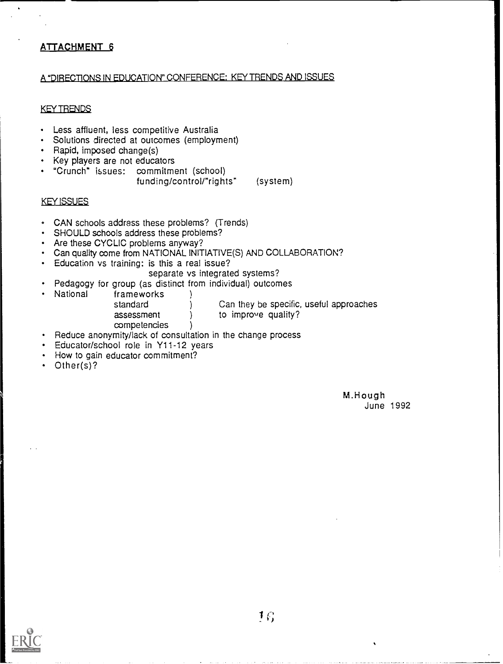#### A "DIRECTIONS IN EDUCATION" CONFERENCE: KEY TRENDS AND ISSUES

#### KEY TRENDS

- Less affluent, less competitive Australia
- Solutions directed at outcomes (employment)
- Rapid, imposed change(s)
- Key players are not educators
- "Crunch" issues: commitment (school) funding/control/"rights" (system)

#### KEY ISSUES

- CAN schools address these problems? (Trends)
- SHOULD schools address these problems?
- Are these CYCLIC problems anyway?
- Can quality come from NATIONAL INITIATIVE(S) AND COLLABORATION?
- Education vs training: is this a real issue?  $\bullet$  .
	- separate vs integrated systems?
- Pedagogy for group (as distinct from individual) outcomes<br>National frameworks (1)
	- frameworks<br>standard assessment ) to improve quality?

Can they be specific, useful approaches

- competencies )
- Reduce anonymity/lack of consultation in the change process
- Educator/school role in Y11-12 years
- How to gain educator commitment?
- Other(s)?

M.Hough June 1992

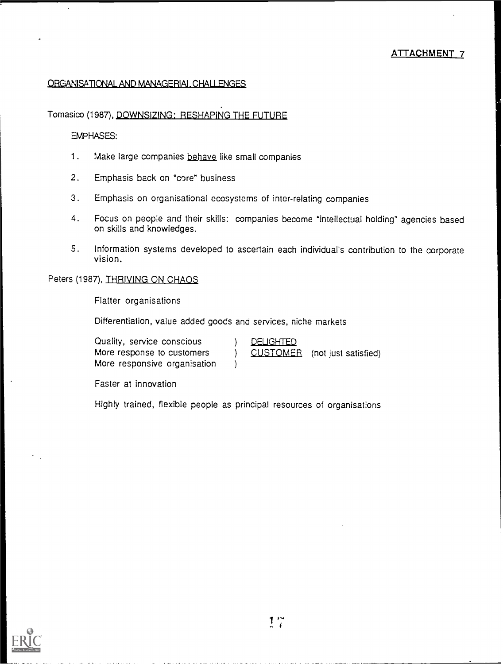#### ORGANISATIONAL AND MANAGERIAL, CHALLENGES

#### Tomasioo (1987), DOWNSIZING: RESHAPING THE FUTURE

#### EMPHASES:

- 1. Make large companies behave like small companies
- 2. Emphasis back on "core" business
- 3. Emphasis on organisational ecosystems of inter-relating companies
- 4. Focus on people and their skills: companies become "intellectual holding" agencies based on skills and knowledges.
- 5. Information systems developed to ascertain each individual's contribution to the corporate vision.

#### Peters (1987), THRIVING ON CHAOS

Flatter organisations

Differentiation, value added goods and services, niche markets

| Quality, service conscious   | <b>DELIGHTED</b> |                               |  |
|------------------------------|------------------|-------------------------------|--|
| More response to customers   |                  | CUSTOMER (not just satisfied) |  |
| More responsive organisation |                  |                               |  |

Faster at innovation

Highly trained, flexible people as principal resources of organisations

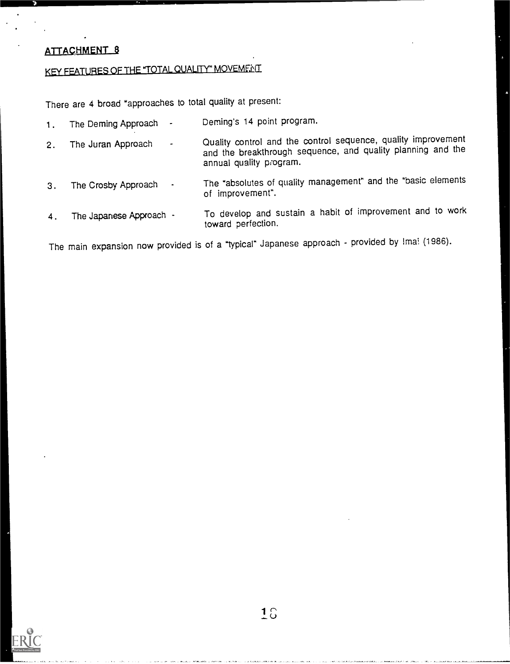### KEY FEATURES OF THE "TOTAL QUALITY" MOVEMENT

There are 4 broad "approaches to total quality at present:

- 1. The Deming Approach Deming's 14 point program.
- 2. The Juran Approach Quality control and the control sequence, quality improvement and the breakthrough sequence, and quality planning and the annual quality program.
- 3. The Crosby Approach The "absolutes of quality management" and the "basic elements of improvement".
- 4 . The Japanese Approach To develop and sustain a habit of improvement and to work toward perfection.

The main expansion now provided is of a "typical" Japanese approach - provided by Imai (1986).

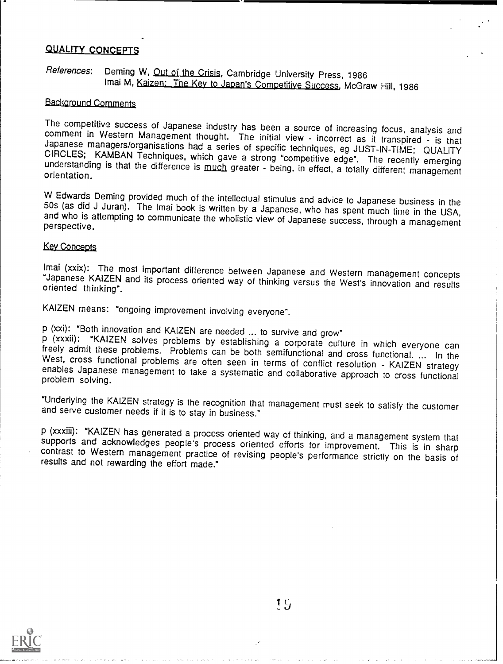#### **QUALITY CONCEPTS**

#### References: Deming W, Out of the Crisis, Cambridge University Press, 1986 Imai M, Kaizen: The Key to Japan's Competitive Success, McGraw Hill, 1986

#### Background Comments

The competitive success of Japanese industry has been a source of increasing focus, analysis and<br>comment in Western Management thought. The initial view - incorrect as it transpired - is that<br>Japanese managers/organisation

W Edwards Deming provided much of the intellectual stimulus and advice to Japanese business in the 50s (as did J Juran). The Imai book is written by a Japanese, who has spent much time in the USA, and who is attempting to

#### Key Concepts

Imai (xxix): The most important difference between Japanese and Western management concepts "Japanese KAIZEN and its process oriented way of thinking versus the West's innovation and results oriented thinking".

KAIZEN means: "ongoing improvement involving everyone".

p (xxi): "Both innovation and KAIZEN are needed ... to survive and grow"<br>p (xxxii): "KAIZEN solves problems by establishing a corporate culture in which everyone can<br>freely admit these problems. Problems can be both semifu West, cross functional problems Treety admit these problems. Problems can be both semifunctional and cross functional. ... In the<br>West, cross functional problems are often seen in terms of conflict resolution - KAIZEN strategy<br>enables Japanese management

"Underlying the KAIZEN strategy is the recognition that management must seek to satisfy the customer and serve customer needs if it is to stay in business."

p (xxxiii): "KAIZEN has generated a process oriented way of thinking, and a management system that supports and acknowledges people's process oriented efforts for improvement. This is in sharp contrast to Western managemen

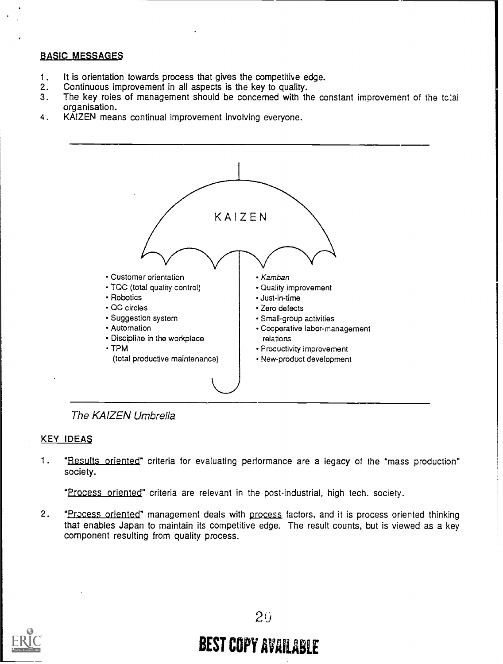#### BASIC MESSAGE\$

- 1. It is orientation towards process that gives the competitive edge.<br>2. Continuous improvement in all aspects is the key to quality.
- 2. Continuous improvement in all aspects is the key to quality.<br>3. The key roles of management should be concerned with the
- The key roles of management should be concerned with the constant improvement of the tc:al organisation.
- 4. KAIZEN means continual improvement involving everyone.



The KAIZEN Umbrella

#### KEY IDEAS

1. "Results oriented" criteria for evaluating performance are a legacy of the "mass production" society.

"Process oriented" criteria are relevant in the post-industrial, high tech. society.

2. "Process oriented" management deals with process factors, and it is process oriented thinking that enables Japan to maintain its competitive edge. The result counts, but is viewed as a key component resulting from quality process.



## BEST COPY AVAILABLE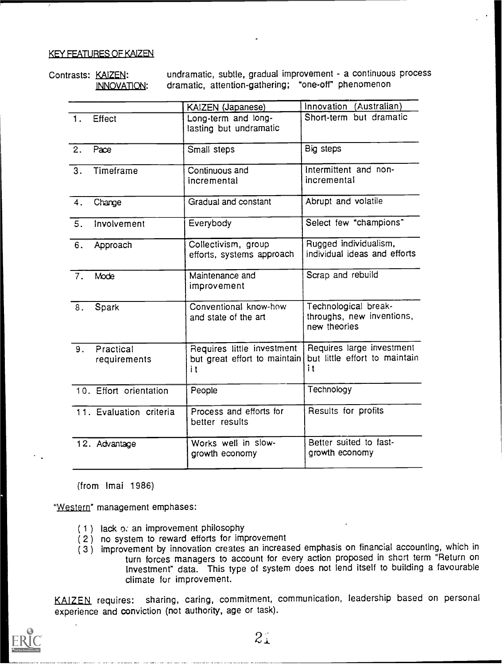#### KEY FEATURES OF KAIZEN

Contrasts: KAIZEN: undramatic, subtle, gradual improvement - a continuous process<br>
INNOVATION: dramatic, attention-gathering; "one-off" phenomenon dramatic, attention-gathering; "one-off' phenomenon

| Innovation (Australian)<br>KAIZEN (Japanese)<br>Short-term but dramatic<br>Long-term and long-<br>Effect<br>lasting but undramatic<br>Big steps<br>Pace<br>Small steps<br>Intermittent and non-<br>Timeframe<br>Continuous and<br>incremental<br>incremental<br>Abrupt and volatile<br>Gradual and constant<br>Change<br>Select few "champions"<br>Everybody<br>Involvement<br>Rugged individualism,<br>Collectivism, group<br>Approach<br>individual ideas and efforts<br>efforts, systems approach<br>Scrap and rebuild<br>Maintenance and<br>Mode<br>improvement<br>Technological break-<br>Conventional know-how<br>Spark<br>throughs, new inventions,<br>and state of the art<br>new theories<br>Requires large investment<br>Requires little investment<br>Practical<br>9.<br>but great effort to maintain<br>requirements<br>it<br>i t<br>Technology<br>10. Effort orientation<br>People<br>Results for profits<br>Process and efforts for<br>11. Evaluation criteria<br>better results<br>Better suited to fast-<br>Works well in slow-<br>12. Advantage<br>growth economy<br>growth economy |    |  |                               |
|------------------------------------------------------------------------------------------------------------------------------------------------------------------------------------------------------------------------------------------------------------------------------------------------------------------------------------------------------------------------------------------------------------------------------------------------------------------------------------------------------------------------------------------------------------------------------------------------------------------------------------------------------------------------------------------------------------------------------------------------------------------------------------------------------------------------------------------------------------------------------------------------------------------------------------------------------------------------------------------------------------------------------------------------------------------------------------------------------|----|--|-------------------------------|
|                                                                                                                                                                                                                                                                                                                                                                                                                                                                                                                                                                                                                                                                                                                                                                                                                                                                                                                                                                                                                                                                                                      |    |  |                               |
|                                                                                                                                                                                                                                                                                                                                                                                                                                                                                                                                                                                                                                                                                                                                                                                                                                                                                                                                                                                                                                                                                                      | 1. |  |                               |
|                                                                                                                                                                                                                                                                                                                                                                                                                                                                                                                                                                                                                                                                                                                                                                                                                                                                                                                                                                                                                                                                                                      | 2. |  |                               |
|                                                                                                                                                                                                                                                                                                                                                                                                                                                                                                                                                                                                                                                                                                                                                                                                                                                                                                                                                                                                                                                                                                      | 3. |  |                               |
|                                                                                                                                                                                                                                                                                                                                                                                                                                                                                                                                                                                                                                                                                                                                                                                                                                                                                                                                                                                                                                                                                                      | 4. |  |                               |
|                                                                                                                                                                                                                                                                                                                                                                                                                                                                                                                                                                                                                                                                                                                                                                                                                                                                                                                                                                                                                                                                                                      | 5. |  |                               |
|                                                                                                                                                                                                                                                                                                                                                                                                                                                                                                                                                                                                                                                                                                                                                                                                                                                                                                                                                                                                                                                                                                      | 6. |  |                               |
|                                                                                                                                                                                                                                                                                                                                                                                                                                                                                                                                                                                                                                                                                                                                                                                                                                                                                                                                                                                                                                                                                                      | 7. |  |                               |
|                                                                                                                                                                                                                                                                                                                                                                                                                                                                                                                                                                                                                                                                                                                                                                                                                                                                                                                                                                                                                                                                                                      | 8. |  |                               |
|                                                                                                                                                                                                                                                                                                                                                                                                                                                                                                                                                                                                                                                                                                                                                                                                                                                                                                                                                                                                                                                                                                      |    |  | but little effort to maintain |
|                                                                                                                                                                                                                                                                                                                                                                                                                                                                                                                                                                                                                                                                                                                                                                                                                                                                                                                                                                                                                                                                                                      |    |  |                               |
|                                                                                                                                                                                                                                                                                                                                                                                                                                                                                                                                                                                                                                                                                                                                                                                                                                                                                                                                                                                                                                                                                                      |    |  |                               |
|                                                                                                                                                                                                                                                                                                                                                                                                                                                                                                                                                                                                                                                                                                                                                                                                                                                                                                                                                                                                                                                                                                      |    |  |                               |

(from Imai 1986)

"Western" management emphases:

- ( <sup>1</sup> ) lack o; an improvement philosophy
- ( 2 ) no system to reward efforts for improvement
- $(3)$  improvement by innovation creates an increased emphasis on financial accounting, which in turn forces managers to account for every action proposed in short term "Return on Investment" data. This type of system does not lend itself to building a favourable climate for improvement.

KAIZEN requires: sharing, caring, commitment, communication, leadership based on personal experience and conviction (not authority, age or task).

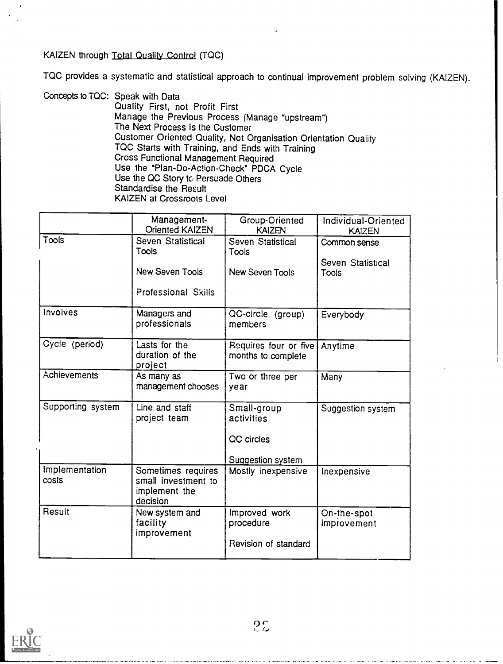#### KAIZEN through Total Quality Control (TQC)

TQC provides a systematic and statistical approach to continual improvement problem solving (KAIZEN).

Concepts to TQC: Speak with Data Quality First, not Profit First Manage the Previous Process (Manage "upstream") The Next Process Is the Customer Customer Oriented Quality, Not Organisation Orientation Quality TQC Starts with Training, and Ends with Training Cross Functional Management Required Use the "Plan-Do-Action-Check" PDCA Cycle Use the QC Story to Persuade Others Standardise the Result KAIZEN at Crossroots Level

|                         | Management-<br>Oriented KAIZEN                                         | Group-Oriented<br>KAIZEN                    | Individual-Oriented<br><b>KAIZEN</b> |
|-------------------------|------------------------------------------------------------------------|---------------------------------------------|--------------------------------------|
| Tools                   | Seven Statistical<br>Tools                                             | Seven Statistical<br>Tools                  | Common sense                         |
|                         | <b>New Seven Tools</b>                                                 | New Seven Tools                             | Seven Statistical<br>Tools           |
|                         | Professional Skills                                                    |                                             |                                      |
| Involves                | Managers and<br>professionals                                          | QC-circle (group)<br>members                | Everybody                            |
| Cycle (period)          | Lasts for the<br>duration of the<br>project                            | Requires four or five<br>months to complete | Anytime                              |
| Achievements            | As many as<br>management chooses                                       | Two or three per<br>year                    | Many                                 |
| Supporting system       | Line and staff<br>project team                                         | Small-group<br>activities                   | Suggestion system                    |
|                         |                                                                        | QC circles                                  |                                      |
|                         |                                                                        | Suggestion system                           |                                      |
| Implementation<br>costs | Sometimes requires<br>small investment to<br>implement the<br>decision | Mostly inexpensive                          | Inexpensive                          |
| Result                  | New system and<br>facility<br>improvement                              | Improved work<br>procedure                  | On-the-spot<br>improvement           |
|                         |                                                                        | Revision of standard                        |                                      |

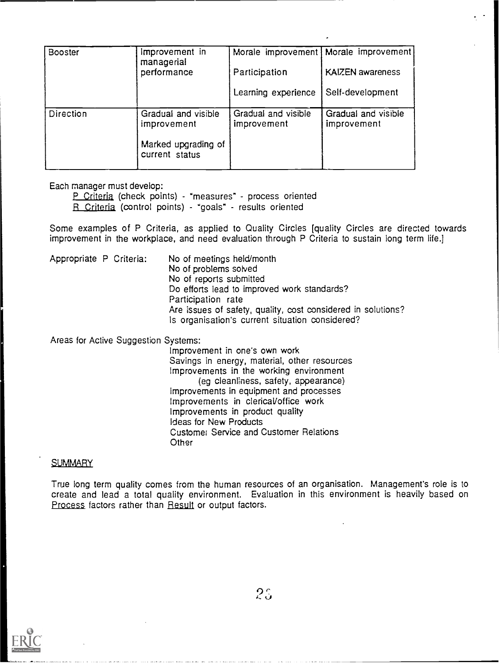| <b>Booster</b> | Improvement in<br>managerial          |                                    | Morale improvement   Morale improvement |
|----------------|---------------------------------------|------------------------------------|-----------------------------------------|
|                | performance                           | Participation                      | KAIZEN awareness                        |
|                |                                       | Learning experience                | Self-development                        |
| Direction      | Gradual and visible<br>improvement    | Gradual and visible<br>improvement | Gradual and visible<br>improvement      |
|                | Marked upgrading of<br>current status |                                    |                                         |

Each manager must develop:

P Criteria (check points) - "measures" - process oriented R Criteria (control points) - "goals" - results oriented

Some examples of P Criteria, as applied to Quality Circles [quality Circles are directed towards improvement in the workplace, and need evaluation through P Criteria to sustain long term life.]

Appropriate P Criteria: No of meetings held/month No of problems solved No of reports submitted Do efforts lead to improved work standards? Participation rate Are issues of safety, quality, cost considered in solutions? Is organisation's current situation considered?

Areas for Active Suggestion Systems:

Improvement in one's own work Savings in energy, material, other resources Improvements in the working environment (eg cleanliness, safety, appearance) Improvements in equipment and processes Improvements in clericaVoffice work Improvements in product quality Ideas for New Products Customer Service and Customer Relations **Other** 

#### **SUMMARY**

True long term quality comes from the human resources of an organisation. Management's role is to create and lead a total quality environment. Evaluation in this environment is heavily based on Process factors rather than Result or output factors.



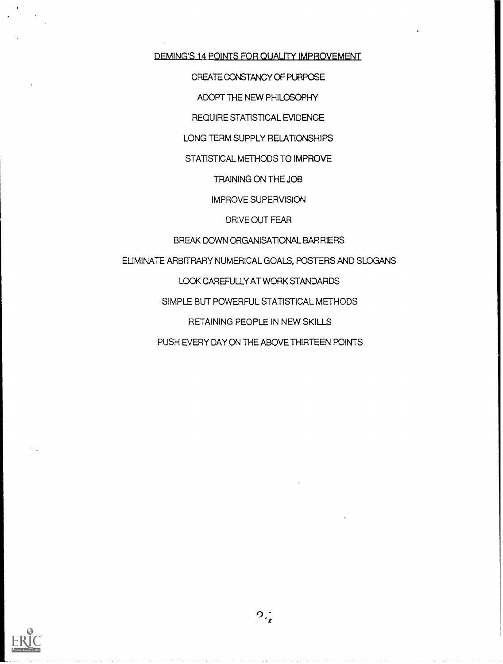DEMING'S 14 POINTS FOR QUALITY IMPROVEMENT

CREATE CONSTANCY OF PURPOSE

ADOPT THE NEW PHILOSOPHY

REQUIRE STATISTICAL EVIDENCE

LONG TERM SUPPLY RELATIONSHIPS

STATISTICAL METHODS TO IMPROVE

TRAINING ON THE JOB

IMPROVE SUPERVISION

DRIVE OUT FEAR

BREAK DOWN ORGANISATIONAL BARRIERS

ELIMINATE ARBITRARY NUMERICAL GOALS, POSTERS AND SLOGANS

LOOK CAREFULLY AT WORK STANDARDS

SIMPLE BUT POWERFUL STATISTICAL METHODS

RETAINING PEOPLE IN NEW SKILLS

PUSH EVERY DAY ON THE ABOVE THIRTEEN POINTS

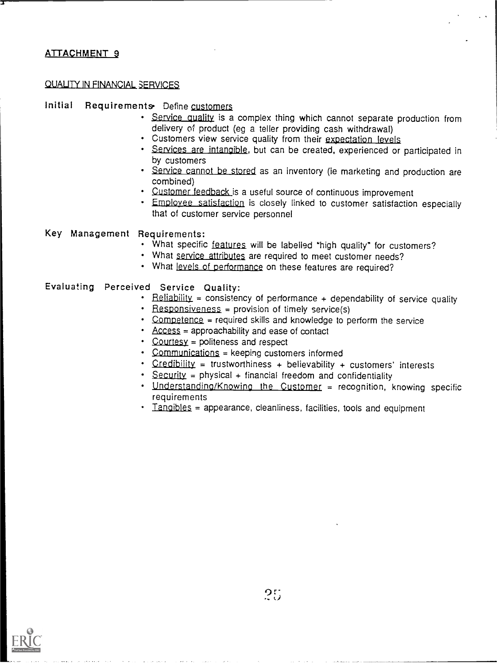#### QUALITY IN FINANCIAL SERVICES

#### Initial Requirements Define customers

- . Service quality is a complex thing which cannot separate production from delivery of product (eg a teller providing cash withdrawal)
- Customers view service quality from their expectation levels
- Services are intangible, but can be created, experienced or participated in by customers
- Service cannot be stored as an inventory (ie marketing and production are combined)
- · Customer feedback is a useful source of continuous improvement
- **Employee satisfaction** is closely linked to customer satisfaction especially that of customer service personnel

#### Key Management Requirements:

- . What specific features will be labelled "high quality" for customers?
- What service attributes are required to meet customer needs?
- What levels of performance on these features are required?

#### Evaluating Perceived Service Quality:

- Beliability = consistency of performance + dependability of service quality
- Responsiveness = provision of timely service(s)
- Competence = required skills and knowledge to perform the service
- $\triangle$  Access = approachability and ease of contact
- Courtesy = politeness and respect
- Communications = keeping customers informed
- Credibility = trustworthiness + believability + customers' interests
- $\cdot$  Security = physical + financial freedom and confidentiality
- Understanding/Knowing the Customer = recognition, knowing specific requirements
- Tangibles = appearance, cleanliness, facilities, tools and equipment

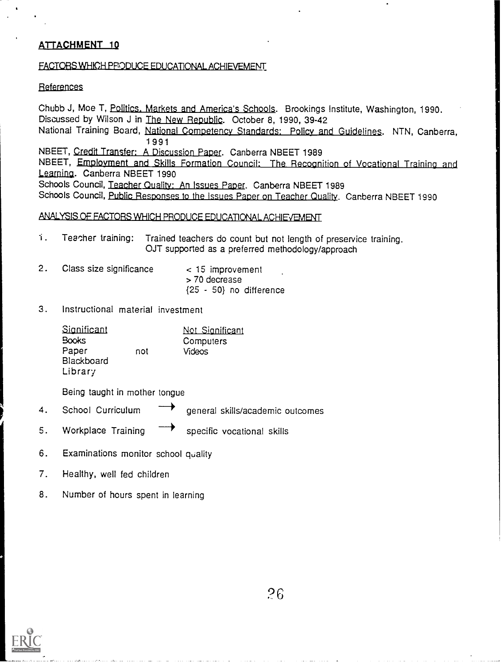#### FACTORS WHICH PRODUCE EDUCATIONAL ACHIEVEMENT

#### References

Chubb J, Moe T, Politics. Markets and America's Schools. Brookings Institute, Washington, 1990. Discussed by Wilson J in The New Republic. October 8, 1990, 39-42 National Training Board, National Competency Standards: Policy and Guidelines. NTN, Canberra, 1 991 NBEET, Credit Transfer: A Discussion Paper. Canberra NBEET 1989 NBEET, Employment and Skills Formation Council: The Recognition of Vocational Training and Learning. Canberra NBEET 1990 Schools Council, Teacher Quality: An Issues Paper. Canberra NBEET 1989 Schools Council, Public Responses to the Issues Paper on Teacher Quality. Canberra NBEET 1990

#### ANALYSIS OF FACTORS WHICH PRODUCE EDUCATIONAL ACHIEVEMENT

- 1. Teacher training: Trained teachers do count but not length of preservice training. OJT supported as a preferred methodology/approach
- 2. Class size significance < 15 improvement > 70 decrease {25 - 50} no difference
- 3. Instructional material investment

| Significant  |     | Not Significant |
|--------------|-----|-----------------|
| <b>Books</b> |     | Computers       |
| Paper        | not | <b>Videos</b>   |
| Blackboard   |     |                 |
| Library      |     |                 |

Being taught in mother tongue

- 4. School Curriculum general skills/academic outcomes
- 5. Workplace Training specific vocational skills
- 6. Examinations monitor school quality
- 7. Healthy, well fed children
- 8. Number of hours spent in learning

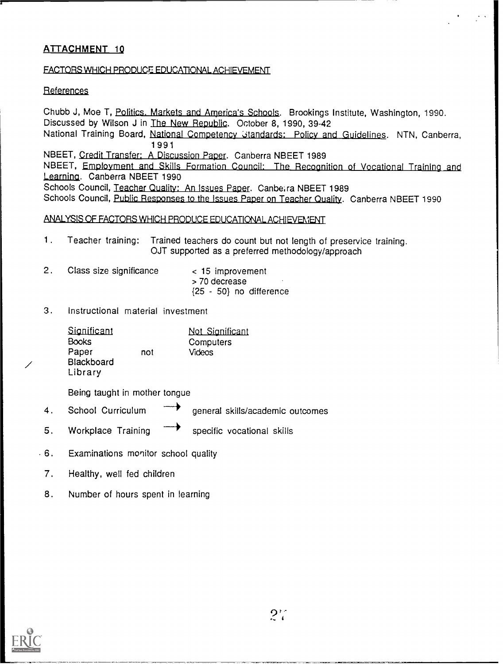#### FACTORS WHICH PRODUCE EDUCATIONAL ACHIEVEMENT

#### References

Chubb J, Moe T, Politics. Markets and America's Schools. Brookings Institute, Washington, 1990. Discussed by Wilson J in The New Republic. October 8, 1990, 39-42 National Training Board, National Competency Standards: Policy and Guidelines. NTN, Canberra, 1 9 9 1 NBEET, Credit Transfer: A Discussion Paper. Canberra NBEET 1989 NBEET, Employment and Skills Formation Council: The Recognition of Vocational Training and Learning. Canberra NBEET 1990 Schools Council, Teacher Quality: An Issues Paper. Canberra NBEET 1989 Schools Council, Public Responses to the Issues Paper on Teacher Quality. Canberra NBEET 1990 Is Council, Teacher Quality: An Issues Paper. Canberra NBEET 1989<br>Is Council, <u>Public Responses to the Issues Paper on Teacher Quality</u>. Canberra NE<br>SIS OF FACTORS WHICH PRODUCE EDUCATIONAL ACHIEVEMENT

- 1. Teacher training: Trained teachers do count but not length of preservice training. OJT supported as a preferred methodology/approach
- 2. Class size significance < 15 improvement > 70 decrease {25 - 50} no difference
- 3. Instructional material investment

| Significant<br><b>Books</b><br>Paper<br>Blackboard | not | Not Significant<br>Computers<br>Videos |
|----------------------------------------------------|-----|----------------------------------------|
| Library                                            |     |                                        |

Being taught in mother tongue

- 4. School Curriculum tongue<br>------<br>general skills/academic outcomes general skills/academic outcomes<br>
specific vocational skills
- 5. Workplace Training specific vocational skills
- 6. Examinations monitor school quality
- 7. Healthy, well fed children
- 8. Number of hours spent in learning